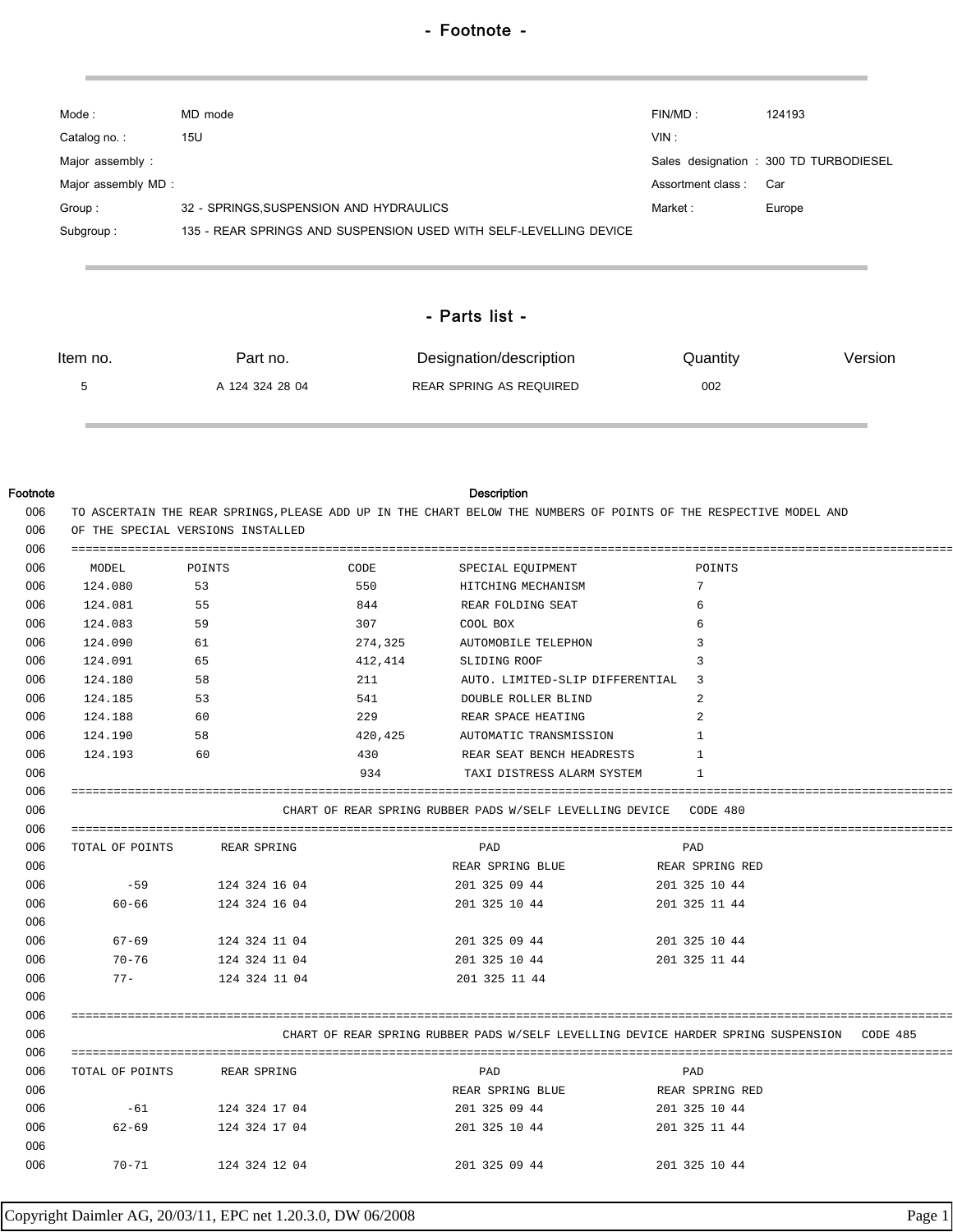| Mode :              | MD mode                                                           | FIN/MD:           | 124193                                 |  |
|---------------------|-------------------------------------------------------------------|-------------------|----------------------------------------|--|
| Catalog no.:        | 15U                                                               | VIN:              |                                        |  |
| Major assembly:     |                                                                   |                   | Sales designation : 300 TD TURBODIESEL |  |
| Major assembly MD : |                                                                   | Assortment class: | Car                                    |  |
| Group:              | 32 - SPRINGS, SUSPENSION AND HYDRAULICS                           | Market:           | Europe                                 |  |
| Subgroup:           | 135 - REAR SPRINGS AND SUSPENSION USED WITH SELF-LEVELLING DEVICE |                   |                                        |  |
|                     |                                                                   |                   |                                        |  |
|                     |                                                                   |                   |                                        |  |
| - Parts list -      |                                                                   |                   |                                        |  |

| Item no.<br>Part no. |  | Designation/description | Quantity | Version |  |
|----------------------|--|-------------------------|----------|---------|--|
| A 124 324 28 04      |  | REAR SPRING AS REQUIRED | 002      |         |  |

| Footnote |
|----------|
|----------|

## Description

| 006 | TO ASCERTAIN THE REAR SPRINGS, PLEASE ADD UP IN THE CHART BELOW THE NUMBERS OF POINTS OF THE RESPECTIVE MODEL AND |                             |         |                                                                   |                 |
|-----|-------------------------------------------------------------------------------------------------------------------|-----------------------------|---------|-------------------------------------------------------------------|-----------------|
| 006 | OF THE SPECIAL VERSIONS INSTALLED                                                                                 |                             |         |                                                                   |                 |
| 006 |                                                                                                                   |                             |         |                                                                   |                 |
| 006 | MODEL                                                                                                             | POINTS                      | CODE    | SPECIAL EQUIPMENT                                                 | POINTS          |
| 006 | 124.080 53                                                                                                        |                             | 550     | HITCHING MECHANISM                                                | $7\overline{ }$ |
| 006 | 124.081                                                                                                           | 55                          | 844     | REAR FOLDING SEAT                                                 | 6               |
| 006 | 124.083<br>59                                                                                                     |                             | 307     | <b>COOL BOX</b>                                                   | 6               |
| 006 | 124.090<br>61                                                                                                     |                             |         | 274,325 AUTOMOBILE TELEPHON                                       | 3               |
| 006 | 124.091                                                                                                           | 65                          |         | 412,414 SLIDING ROOF                                              | 3               |
| 006 | 58<br>124.180                                                                                                     |                             | 211     | AUTO. LIMITED-SLIP DIFFERENTIAL 3                                 |                 |
| 006 | 124.185                                                                                                           | 53                          | 541     | DOUBLE ROLLER BLIND                                               | 2               |
| 006 | 124.188                                                                                                           | 60                          | 229     | REAR SPACE HEATING                                                | 2               |
| 006 | 124.190                                                                                                           | 58                          | 420,425 | AUTOMATIC TRANSMISSION                                            | $\overline{1}$  |
| 006 | 124.193                                                                                                           | 60                          | 430     | REAR SEAT BENCH HEADRESTS                                         | $\mathbf{1}$    |
| 006 |                                                                                                                   |                             | 934     | TAXI DISTRESS ALARM SYSTEM                                        | -1              |
| 006 |                                                                                                                   |                             |         |                                                                   |                 |
| 006 |                                                                                                                   |                             |         | CHART OF REAR SPRING RUBBER PADS W/SELF LEVELLING DEVICE CODE 480 |                 |
| 006 |                                                                                                                   |                             |         |                                                                   |                 |
| 006 | TOTAL OF POINTS                                                                                                   | REAR SPRING                 |         | PAD                                                               | PAD             |
| 006 |                                                                                                                   |                             |         | REAR SPRING BLUE                                                  | REAR SPRING RED |
| 006 | $-59$                                                                                                             | 124 324 16 04               |         | 201 325 09 44                                                     | 201 325 10 44   |
| 006 | $60 - 66$                                                                                                         | 124 324 16 04               |         | 201 325 10 44                                                     | 201 325 11 44   |
| 006 |                                                                                                                   |                             |         |                                                                   |                 |
| 006 |                                                                                                                   | 67-69 124 324 11 04         |         | 201 325 09 44                                                     | 201 325 10 44   |
| 006 |                                                                                                                   | 70-76 124 324 11 04         |         | 201 325 10 44 201 325 11 44                                       |                 |
| 006 |                                                                                                                   | 77- 124 324 11 04           |         | 201 325 11 44                                                     |                 |
| 006 |                                                                                                                   |                             |         |                                                                   |                 |
| 006 |                                                                                                                   |                             |         |                                                                   |                 |
| 006 | CHART OF REAR SPRING RUBBER PADS W/SELF LEVELLING DEVICE HARDER SPRING SUSPENSION CODE 485                        |                             |         |                                                                   |                 |
| 006 |                                                                                                                   |                             |         |                                                                   |                 |
| 006 |                                                                                                                   | TOTAL OF POINTS REAR SPRING |         | PAD                                                               | PAD             |
| 006 |                                                                                                                   |                             |         | REAR SPRING BLUE                                                  | REAR SPRING RED |
| 006 | $-61$                                                                                                             | 124 324 17 04               |         | 201 325 09 44                                                     | 201 325 10 44   |
| 006 | $62 - 69$                                                                                                         | 124 324 17 04               |         | 201 325 10 44                                                     | 201 325 11 44   |
| 006 |                                                                                                                   |                             |         |                                                                   |                 |
| 006 |                                                                                                                   | 70-71 124 324 12 04         |         | 201 325 09 44                                                     | 201 325 10 44   |